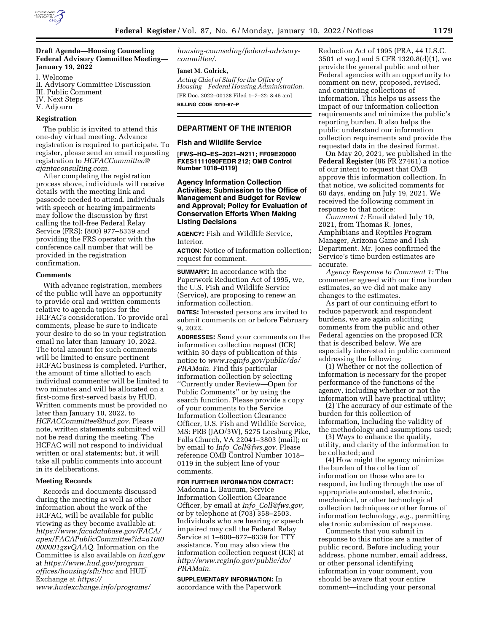

# **Draft Agenda—Housing Counseling Federal Advisory Committee Meeting— January 19, 2022**

I. Welcome

- II. Advisory Committee Discussion
- III. Public Comment
- IV. Next Steps
- V. Adjourn

# **Registration**

The public is invited to attend this one-day virtual meeting. Advance registration is required to participate. To register, please send an email requesting registration to *[HCFACCommittee@](mailto:HCFACCommittee@ajantaconsulting.com) [ajantaconsulting.com.](mailto:HCFACCommittee@ajantaconsulting.com)* 

After completing the registration process above, individuals will receive details with the meeting link and passcode needed to attend. Individuals with speech or hearing impairments may follow the discussion by first calling the toll-free Federal Relay Service (FRS): (800) 977–8339 and providing the FRS operator with the conference call number that will be provided in the registration confirmation.

#### **Comments**

With advance registration, members of the public will have an opportunity to provide oral and written comments relative to agenda topics for the HCFAC's consideration. To provide oral comments, please be sure to indicate your desire to do so in your registration email no later than January 10, 2022. The total amount for such comments will be limited to ensure pertinent HCFAC business is completed. Further, the amount of time allotted to each individual commenter will be limited to two minutes and will be allocated on a first-come first-served basis by HUD. Written comments must be provided no later than January 10, 2022, to *[HCFACCommittee@hud.gov.](mailto:HCFACCommittee@hud.gov)* Please note, written statements submitted will not be read during the meeting. The HCFAC will not respond to individual written or oral statements; but, it will take all public comments into account in its deliberations.

## **Meeting Records**

Records and documents discussed during the meeting as well as other information about the work of the HCFAC, will be available for public viewing as they become available at: *[https://www.facadatabase.gov/FACA/](https://www.facadatabase.gov/FACA/apex/FACAPublicCommittee?id=a10t0000001gzvQAAQ)  [apex/FACAPublicCommittee?id=a10t0](https://www.facadatabase.gov/FACA/apex/FACAPublicCommittee?id=a10t0000001gzvQAAQ) [000001gzvQAAQ.](https://www.facadatabase.gov/FACA/apex/FACAPublicCommittee?id=a10t0000001gzvQAAQ)* Information on the Committee is also available on *hud.gov*  at *[https://www.hud.gov/program](https://www.hud.gov/program_offices/housing/sfh/hcc)*\_ *[offices/housing/sfh/hcc](https://www.hud.gov/program_offices/housing/sfh/hcc)* and HUD Exchange at *[https://](https://www.hudexchange.info/programs/housing-counseling/federal-advisory-committee/) [www.hudexchange.info/programs/](https://www.hudexchange.info/programs/housing-counseling/federal-advisory-committee/)* 

*[housing-counseling/federal-advisory](https://www.hudexchange.info/programs/housing-counseling/federal-advisory-committee/)[committee/.](https://www.hudexchange.info/programs/housing-counseling/federal-advisory-committee/)* 

#### **Janet M. Golrick,**

*Acting Chief of Staff for the Office of Housing—Federal Housing Administration.*  [FR Doc. 2022–00128 Filed 1–7–22; 8:45 am] **BILLING CODE 4210–67–P** 

## **DEPARTMENT OF THE INTERIOR**

#### **Fish and Wildlife Service**

**[FWS–HQ–ES–2021–N211; FF09E20000 FXES1111090FEDR 212; OMB Control Number 1018–0119]** 

#### **Agency Information Collection Activities; Submission to the Office of Management and Budget for Review and Approval; Policy for Evaluation of Conservation Efforts When Making Listing Decisions**

**AGENCY:** Fish and Wildlife Service, Interior.

**ACTION:** Notice of information collection; request for comment.

**SUMMARY:** In accordance with the Paperwork Reduction Act of 1995, we, the U.S. Fish and Wildlife Service (Service), are proposing to renew an information collection.

**DATES:** Interested persons are invited to submit comments on or before February 9, 2022.

**ADDRESSES:** Send your comments on the information collection request (ICR) within 30 days of publication of this notice to *[www.reginfo.gov/public/do/](http://www.reginfo.gov/public/do/PRAMain) [PRAMain.](http://www.reginfo.gov/public/do/PRAMain)* Find this particular information collection by selecting ''Currently under Review—Open for Public Comments'' or by using the search function. Please provide a copy of your comments to the Service Information Collection Clearance Officer, U.S. Fish and Wildlife Service, MS: PRB (JAO/3W), 5275 Leesburg Pike, Falls Church, VA 22041–3803 (mail); or by email to *Info*\_*[Coll@fws.gov.](mailto:Info_Coll@fws.gov)* Please reference OMB Control Number 1018– 0119 in the subject line of your comments.

#### **FOR FURTHER INFORMATION CONTACT:**

Madonna L. Baucum, Service Information Collection Clearance Officer, by email at *Info*\_*[Coll@fws.gov,](mailto:Info_Coll@fws.gov)*  or by telephone at (703) 358–2503. Individuals who are hearing or speech impaired may call the Federal Relay Service at 1–800–877–8339 for TTY assistance. You may also view the information collection request (ICR) at *[http://www.reginfo.gov/public/do/](http://www.reginfo.gov/public/do/PRAMain) [PRAMain.](http://www.reginfo.gov/public/do/PRAMain)* 

**SUPPLEMENTARY INFORMATION:** In accordance with the Paperwork

Reduction Act of 1995 (PRA, 44 U.S.C. 3501 *et seq.*) and 5 CFR 1320.8(d)(1), we provide the general public and other Federal agencies with an opportunity to comment on new, proposed, revised, and continuing collections of information. This helps us assess the impact of our information collection requirements and minimize the public's reporting burden. It also helps the public understand our information collection requirements and provide the requested data in the desired format.

On May 20, 2021, we published in the **Federal Register** (86 FR 27461) a notice of our intent to request that OMB approve this information collection. In that notice, we solicited comments for 60 days, ending on July 19, 2021. We received the following comment in response to that notice:

*Comment 1:* Email dated July 19, 2021, from Thomas R. Jones, Amphibians and Reptiles Program Manager, Arizona Game and Fish Department. Mr. Jones confirmed the Service's time burden estimates are accurate.

*Agency Response to Comment 1:* The commenter agreed with our time burden estimates, so we did not make any changes to the estimates.

As part of our continuing effort to reduce paperwork and respondent burdens, we are again soliciting comments from the public and other Federal agencies on the proposed ICR that is described below. We are especially interested in public comment addressing the following:

(1) Whether or not the collection of information is necessary for the proper performance of the functions of the agency, including whether or not the information will have practical utility;

(2) The accuracy of our estimate of the burden for this collection of information, including the validity of the methodology and assumptions used;

(3) Ways to enhance the quality, utility, and clarity of the information to be collected; and

(4) How might the agency minimize the burden of the collection of information on those who are to respond, including through the use of appropriate automated, electronic, mechanical, or other technological collection techniques or other forms of information technology, *e.g.,* permitting electronic submission of response.

Comments that you submit in response to this notice are a matter of public record. Before including your address, phone number, email address, or other personal identifying information in your comment, you should be aware that your entire comment—including your personal